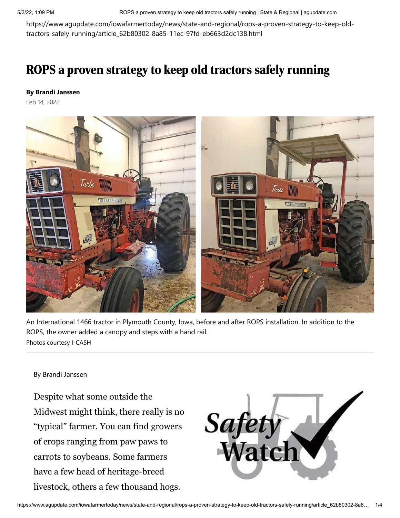5/2/22, 1:09 PM ROPS a proven strategy to keep old tractors safely running | State & Regional | agupdate.com

https://www.agupdate.com/iowafarmertoday/news/state-and-regional/rops-a-proven-strategy-to-keep-oldtractors-safely-running/article\_62b80302-8a85-11ec-97fd-eb663d2dc138.html

## ROPS a proven strategy to keep old tractors safely running

## **By Brandi Janssen**

Feb 14, 2022



An International 1466 tractor in Plymouth County, Iowa, before and after ROPS installation. In addition to the ROPS, the owner added a canopy and steps with a hand rail. Photos courtesy I-CASH

## By Brandi Janssen

Despite what some outside the Midwest might think, there really is no "typical" farmer. You can find growers of crops ranging from paw paws to carrots to soybeans. Some farmers have a few head of heritage-breed livestock, others a few thousand hogs.

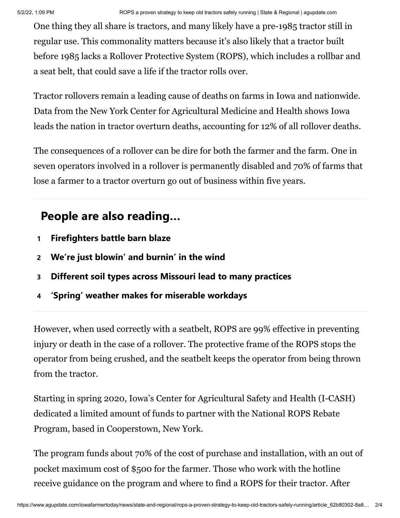One thing they all share is tractors, and many likely have a pre-1985 tractor still in regular use. This commonality matters because it's also likely that a tractor built before 1985 lacks a Rollover Protective System (ROPS), which includes a rollbar and a seat belt, that could save a life if the tractor rolls over.

Tractor rollovers remain a leading cause of deaths on farms in Iowa and nationwide. Data from the New York Center for Agricultural Medicine and Health shows Iowa leads the nation in tractor overturn deaths, accounting for 12% of all rollover deaths.

The consequences of a rollover can be dire for both the farmer and the farm. One in seven operators involved in a rollover is permanently disabled and 70% of farms that lose a farmer to a tractor overturn go out of business within five years.

## **People are also reading…**

- **1 [Firefighters battle barn blaze](https://www.agupdate.com/agriview/news/business/firefighters-battle-barn-blaze/article_ee73c664-09d2-5a1c-8178-958db4f29c58.html#tracking-source=in-article-popular)**
- **2 [We're just blowin' and burnin' in the wind](https://www.agupdate.com/midwestmessenger/opinion/columnists/barb_bierman_batie/we-re-just-blowin-and-burnin-in-the-wind/article_1375bc90-c4cc-11ec-85e7-c30cda1d3823.html#tracking-source=in-article-popular)**
- **3 [Different soil types across Missouri lead to many practices](https://www.agupdate.com/missourifarmertoday/news/crop/different-soil-types-across-missouri-lead-to-many-practices/article_1f47ece4-c672-11ec-ad71-7736b667b2d7.html#tracking-source=in-article-popular)**
- **4 ['Spring' weather makes for miserable workdays](https://www.agupdate.com/midwestmessenger/opinion/columnists/jaclyn_wilson/spring-weather-makes-for-miserable-workdays/article_0bd4c9ae-c4a4-11ec-8a1f-1bdd8d17540c.html#tracking-source=in-article-popular)**

However, when used correctly with a seatbelt, ROPS are 99% effective in preventing injury or death in the case of a rollover. The protective frame of the ROPS stops the operator from being crushed, and the seatbelt keeps the operator from being thrown from the tractor.

Starting in spring 2020, Iowa's Center for Agricultural Safety and Health (I-CASH) dedicated a limited amount of funds to partner with the National ROPS Rebate Program, based in Cooperstown, New York.

The program funds about 70% of the cost of purchase and installation, with an out of pocket maximum cost of \$500 for the farmer. Those who work with the hotline receive guidance on the program and where to find a ROPS for their tractor. After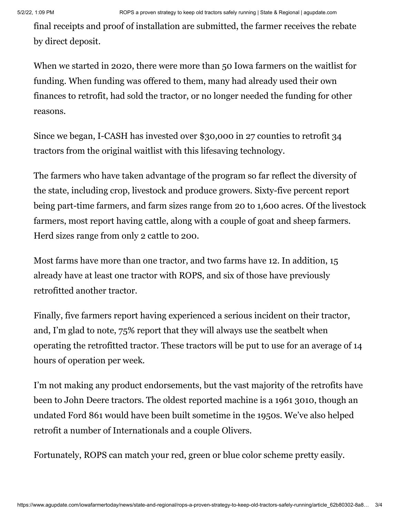final receipts and proof of installation are submitted, the farmer receives the rebate by direct deposit.

When we started in 2020, there were more than 50 Iowa farmers on the waitlist for funding. When funding was offered to them, many had already used their own finances to retrofit, had sold the tractor, or no longer needed the funding for other reasons.

Since we began, I-CASH has invested over \$30,000 in 27 counties to retrofit 34 tractors from the original waitlist with this lifesaving technology.

The farmers who have taken advantage of the program so far reflect the diversity of the state, including crop, livestock and produce growers. Sixty-five percent report being part-time farmers, and farm sizes range from 20 to 1,600 acres. Of the livestock farmers, most report having cattle, along with a couple of goat and sheep farmers. Herd sizes range from only 2 cattle to 200.

Most farms have more than one tractor, and two farms have 12. In addition, 15 already have at least one tractor with ROPS, and six of those have previously retrofitted another tractor.

Finally, five farmers report having experienced a serious incident on their tractor, and, I'm glad to note, 75% report that they will always use the seatbelt when operating the retrofitted tractor. These tractors will be put to use for an average of 14 hours of operation per week.

I'm not making any product endorsements, but the vast majority of the retrofits have been to John Deere tractors. The oldest reported machine is a 1961 3010, though an undated Ford 861 would have been built sometime in the 1950s. We've also helped retrofit a number of Internationals and a couple Olivers.

Fortunately, ROPS can match your red, green or blue color scheme pretty easily.